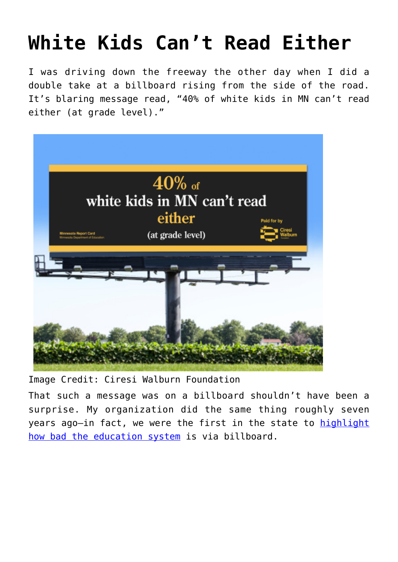## **[White Kids Can't Read Either](https://intellectualtakeout.org/2022/05/white-kids-cant-read-either/)**

I was driving down the freeway the other day when I did a double take at a billboard rising from the side of the road. It's blaring message read, "40% of white kids in MN can't read either (at grade level)."



Image Credit: Ciresi Walburn Foundation

That such a message was on a billboard shouldn't have been a surprise. My organization did the same thing roughly seven years ago-in fact, we were the first in the state to [highlight](https://spokesman-recorder.com/2015/06/01/better-ed-people-want-public-schools/) [how bad the education system](https://spokesman-recorder.com/2015/06/01/better-ed-people-want-public-schools/) is via billboard.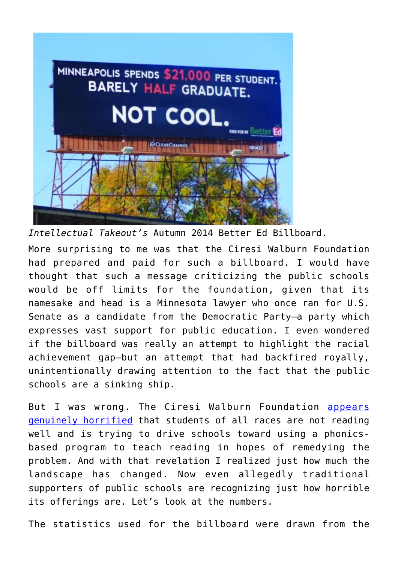

*Intellectual Takeout's* Autumn 2014 Better Ed Billboard.

More surprising to me was that the Ciresi Walburn Foundation had prepared and paid for such a billboard. I would have thought that such a message criticizing the public schools would be off limits for the foundation, given that its namesake and head is a Minnesota lawyer who once ran for U.S. Senate as a candidate from the Democratic Party—a party which expresses vast support for public education. I even wondered if the billboard was really an attempt to highlight the racial achievement gap—but an attempt that had backfired royally, unintentionally drawing attention to the fact that the public schools are a sinking ship.

But I was wrong. The Ciresi Walburn Foundation [appears](https://www.ciresiwalburnfoundation.org/announcements/2022/4/10/messaging-campaign-highlights-minnesota-schools-poor-literacy-outcomes-for-white-students-too) [genuinely horrified](https://www.ciresiwalburnfoundation.org/announcements/2022/4/10/messaging-campaign-highlights-minnesota-schools-poor-literacy-outcomes-for-white-students-too) that students of all races are not reading well and is trying to drive schools toward using a phonicsbased program to teach reading in hopes of remedying the problem. And with that revelation I realized just how much the landscape has changed. Now even allegedly traditional supporters of public schools are recognizing just how horrible its offerings are. Let's look at the numbers.

The statistics used for the billboard were drawn from the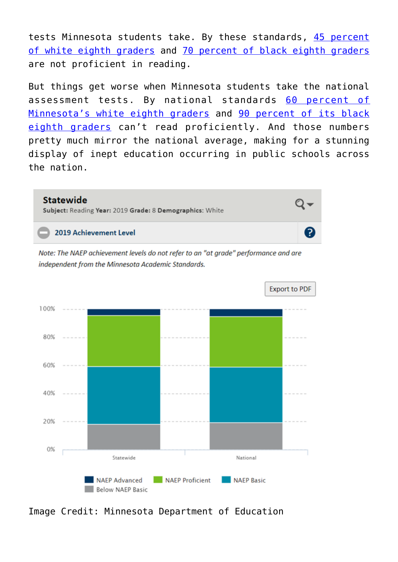tests Minnesota students take. By these standards, [45 percent](https://rc.education.mn.gov/#assessmentsParticipation/orgId--999999000000__groupType--state__test--allAccount__subject--R__accountabilityFlg--FOC_NONE__year--trend__grade--08__categories--white__p--e3) [of white eighth graders](https://rc.education.mn.gov/#assessmentsParticipation/orgId--999999000000__groupType--state__test--allAccount__subject--R__accountabilityFlg--FOC_NONE__year--trend__grade--08__categories--white__p--e3) and [70 percent of black eighth graders](https://rc.education.mn.gov/#assessmentsParticipation/orgId--999999000000__groupType--state__test--allAccount__subject--R__accountabilityFlg--FOC_NONE__year--trend__grade--08__categories--black__p--e3) are not proficient in reading.

But things get worse when Minnesota students take the national assessment tests. By national standards [60 percent of](https://rc.education.mn.gov/#NAEP/orgId--999999000000__groupType--state__subject--R__year--2019__grade--08__categories--white__p--1) [Minnesota's white eighth graders](https://rc.education.mn.gov/#NAEP/orgId--999999000000__groupType--state__subject--R__year--2019__grade--08__categories--white__p--1) and [90 percent of its black](https://rc.education.mn.gov/#NAEP/orgId--999999000000__groupType--state__subject--R__year--2019__grade--08__categories--black__p--1) [eighth graders](https://rc.education.mn.gov/#NAEP/orgId--999999000000__groupType--state__subject--R__year--2019__grade--08__categories--black__p--1) can't read proficiently. And those numbers pretty much mirror the national average, making for a stunning display of inept education occurring in public schools across the nation.



Image Credit: Minnesota Department of Education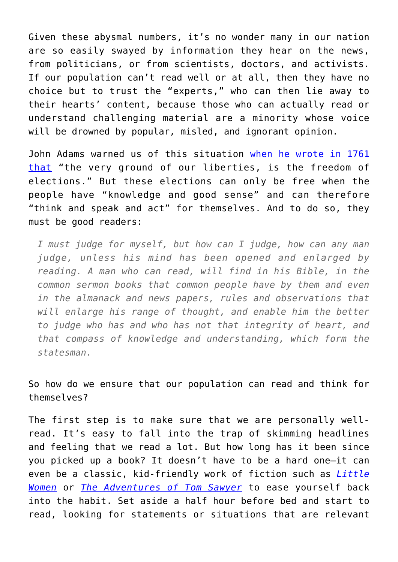Given these abysmal numbers, it's no wonder many in our nation are so easily swayed by information they hear on the news, from politicians, or from scientists, doctors, and activists. If our population can't read well or at all, then they have no choice but to trust the "experts," who can then lie away to their hearts' content, because those who can actually read or understand challenging material are a minority whose voice will be drowned by popular, misled, and ignorant opinion.

John Adams warned us of this situation [when he wrote in 1761](https://books.google.com/books?id=iZgsAAAAYAAJ&pg=PA131&lpg=PA131&dq=The+very+Ground+of+our+Liberties,+is+the+freedom+of+Elections.+Every+Man+has+in+Politicks+as+well+as+Religion,+a+Right+to+think+and+speak+and+Act+for+himself.+No+man+either+King+or+Subject,+Clergyman+or+Layman+has+any+Right+to+dictate+to+me+the+Person+I+shall+choose+for+my+Legislator+and+Ruler.+I+must+judge+for+myself,+but+how+can+I+judge,+how+can+any+Man+judge,+unless+his+Mind+has+been+opened+and+enlarged+by+Reading.+A+Man+who+can+read,+will+find+in+his+Bible,+in+the+common+sermon+Books+that+common+People+have+by+them+and+even+in+the+Almanack+and+News+Papers,+Rules+and+observations,+that+will+enlarge+his+Range+of+Thought,+and+enable+him+the+better+to+judge+who+has+and+who+has+not+that+Integrity+of+Heart,+and+that+Compass+of+Knowledge+and+Understanding,+which+form+the+Statesman&source=bl&ots=D78o2SK9VV&sig=ACfU3U2wWyqwEt6YM12wGnN4EHL-UzAq_Q&hl=en&sa=X&ved=2ahUKEwjPjrHynsb3AhUNHc0KHfYZBykQ6AF6BAgQEAM#v=onepage&q=The%20very%20Ground%20of%20our%20Liberties%2C%20is%20the%20freedom%20of%20Elections.%20Every%20Man%20has%20in%20Politicks%20as%20well%20as%20Religion%2C%20a%20Right%20to%20think%20and%20speak%20and%20Act%20for%20himself.%20No%20man%20either%20King%20or%20Subject%2C%20Clergyman%20or%20Layman%20has%20any%20Right%20to%20dictate%20to%20me%20the%20Person%20I%20shall%20choose%20for%20my%20Legislator%20and%20Ruler.%20I%20must%20judge%20for%20myself%2C%20but%20how%20can%20I%20judge%2C%20how%20can%20any%20Man%20judge%2C%20unless%20his%20Mind%20has%20been%20opened%20and%20enlarged%20by%20Reading.%20A%20Man%20who%20can%20read%2C%20will%20find%20in%20his%20Bible%2C%20in%20the%20common%20sermon%20Books%20that%20common%20People%20have%20by%20them%20and%20even%20in%20the%20Almanack%20and%20News%20Papers%2C%20Rules%20and%20observations%2C%20that%20will%20enlarge%20his%20Range%20of%20Thought%2C%20and%20enable%20him%20the%20better%20to%20judge%20who%20has%20and%20who%20has%20not%20that%20Integrity%20of%20Heart%2C%20and%20that%20Compass%20of%20Knowledge%20and%20Understanding%2C%20which%20form) [that](https://books.google.com/books?id=iZgsAAAAYAAJ&pg=PA131&lpg=PA131&dq=The+very+Ground+of+our+Liberties,+is+the+freedom+of+Elections.+Every+Man+has+in+Politicks+as+well+as+Religion,+a+Right+to+think+and+speak+and+Act+for+himself.+No+man+either+King+or+Subject,+Clergyman+or+Layman+has+any+Right+to+dictate+to+me+the+Person+I+shall+choose+for+my+Legislator+and+Ruler.+I+must+judge+for+myself,+but+how+can+I+judge,+how+can+any+Man+judge,+unless+his+Mind+has+been+opened+and+enlarged+by+Reading.+A+Man+who+can+read,+will+find+in+his+Bible,+in+the+common+sermon+Books+that+common+People+have+by+them+and+even+in+the+Almanack+and+News+Papers,+Rules+and+observations,+that+will+enlarge+his+Range+of+Thought,+and+enable+him+the+better+to+judge+who+has+and+who+has+not+that+Integrity+of+Heart,+and+that+Compass+of+Knowledge+and+Understanding,+which+form+the+Statesman&source=bl&ots=D78o2SK9VV&sig=ACfU3U2wWyqwEt6YM12wGnN4EHL-UzAq_Q&hl=en&sa=X&ved=2ahUKEwjPjrHynsb3AhUNHc0KHfYZBykQ6AF6BAgQEAM#v=onepage&q=The%20very%20Ground%20of%20our%20Liberties%2C%20is%20the%20freedom%20of%20Elections.%20Every%20Man%20has%20in%20Politicks%20as%20well%20as%20Religion%2C%20a%20Right%20to%20think%20and%20speak%20and%20Act%20for%20himself.%20No%20man%20either%20King%20or%20Subject%2C%20Clergyman%20or%20Layman%20has%20any%20Right%20to%20dictate%20to%20me%20the%20Person%20I%20shall%20choose%20for%20my%20Legislator%20and%20Ruler.%20I%20must%20judge%20for%20myself%2C%20but%20how%20can%20I%20judge%2C%20how%20can%20any%20Man%20judge%2C%20unless%20his%20Mind%20has%20been%20opened%20and%20enlarged%20by%20Reading.%20A%20Man%20who%20can%20read%2C%20will%20find%20in%20his%20Bible%2C%20in%20the%20common%20sermon%20Books%20that%20common%20People%20have%20by%20them%20and%20even%20in%20the%20Almanack%20and%20News%20Papers%2C%20Rules%20and%20observations%2C%20that%20will%20enlarge%20his%20Range%20of%20Thought%2C%20and%20enable%20him%20the%20better%20to%20judge%20who%20has%20and%20who%20has%20not%20that%20Integrity%20of%20Heart%2C%20and%20that%20Compass%20of%20Knowledge%20and%20Understanding%2C%20which%20form) "the very ground of our liberties, is the freedom of elections." But these elections can only be free when the people have "knowledge and good sense" and can therefore "think and speak and act" for themselves. And to do so, they must be good readers:

*I must judge for myself, but how can I judge, how can any man judge, unless his mind has been opened and enlarged by reading. A man who can read, will find in his Bible, in the common sermon books that common people have by them and even in the almanack and news papers, rules and observations that will enlarge his range of thought, and enable him the better to judge who has and who has not that integrity of heart, and that compass of knowledge and understanding, which form the statesman.*

So how do we ensure that our population can read and think for themselves?

The first step is to make sure that we are personally wellread. It's easy to fall into the trap of skimming headlines and feeling that we read a lot. But how long has it been since you picked up a book? It doesn't have to be a hard one—it can even be a classic, kid-friendly work of fiction such as *[Little](https://books.google.com/books/about/Little_Women.html?id=YzbhAAAAMAAJ&printsec=frontcover&source=kp_read_button&hl=en&newbks=1&newbks_redir=0#v=onepage&q&f=false) [Women](https://books.google.com/books/about/Little_Women.html?id=YzbhAAAAMAAJ&printsec=frontcover&source=kp_read_button&hl=en&newbks=1&newbks_redir=0#v=onepage&q&f=false)* or *[The Adventures of Tom Sawyer](https://books.google.com/books/about/The_Adventures_of_Tom_Sawyer.html?id=32haAAAAMAAJ&printsec=frontcover&source=kp_read_button&hl=en&newbks=1&newbks_redir=0#v=onepage&q&f=false)* to ease yourself back into the habit. Set aside a half hour before bed and start to read, looking for statements or situations that are relevant